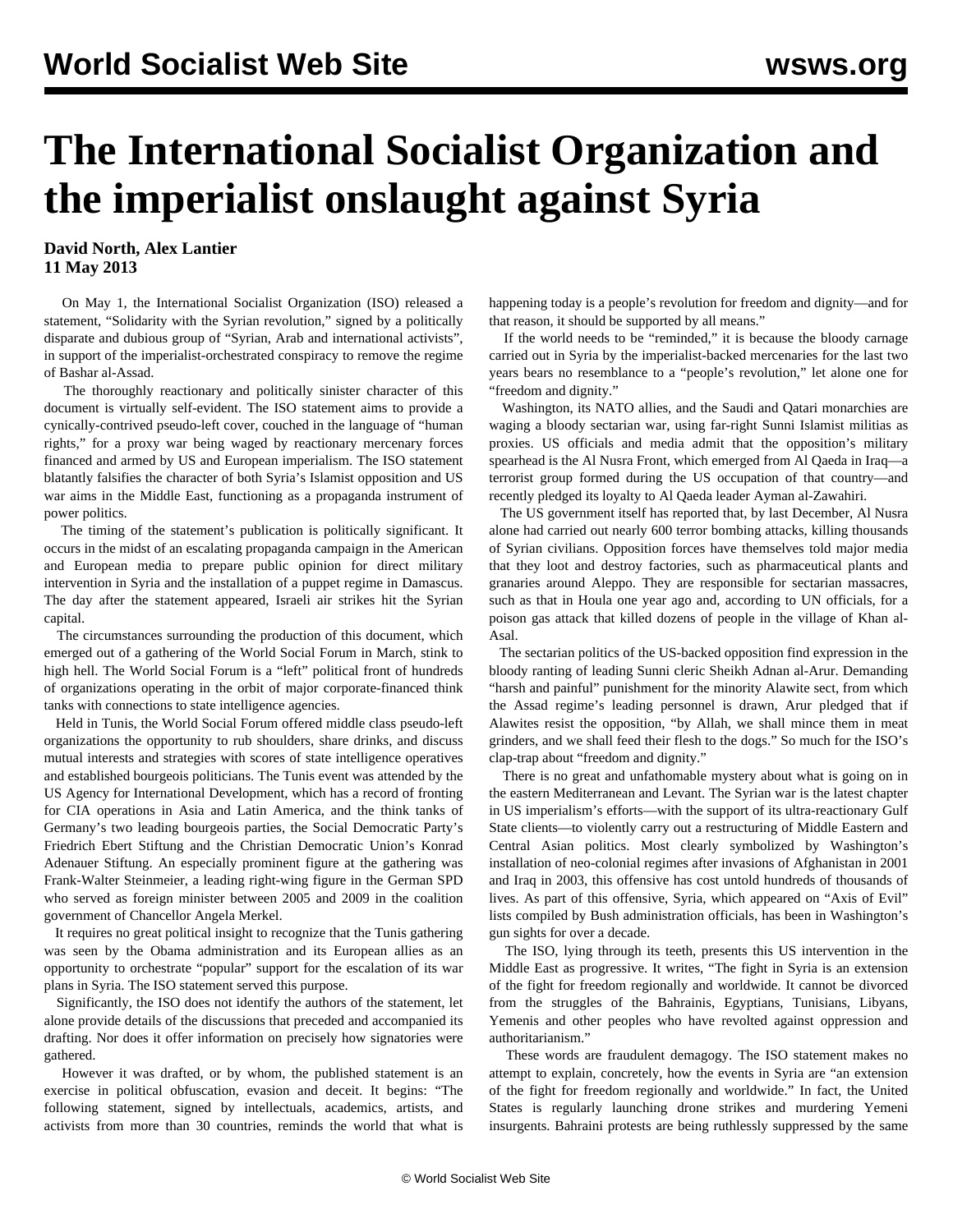## **The International Socialist Organization and the imperialist onslaught against Syria**

## **David North, Alex Lantier 11 May 2013**

 On May 1, the International Socialist Organization (ISO) released a statement, ["Solidarity with the Syrian revolution,](http://socialistworker.org/2013/05/01/solidarity-with-the-revolution)" signed by a politically disparate and dubious group of "Syrian, Arab and international activists", in support of the imperialist-orchestrated conspiracy to remove the regime of Bashar al-Assad.

 The thoroughly reactionary and politically sinister character of this document is virtually self-evident. The ISO statement aims to provide a cynically-contrived pseudo-left cover, couched in the language of "human rights," for a proxy war being waged by reactionary mercenary forces financed and armed by US and European imperialism. The ISO statement blatantly falsifies the character of both Syria's Islamist opposition and US war aims in the Middle East, functioning as a propaganda instrument of power politics.

 The timing of the statement's publication is politically significant. It occurs in the midst of an escalating propaganda campaign in the American and European media to prepare public opinion for direct military intervention in Syria and the installation of a puppet regime in Damascus. The day after the statement appeared, Israeli air strikes hit the Syrian capital.

 The circumstances surrounding the production of this document, which emerged out of a gathering of the World Social Forum in March, stink to high hell. The World Social Forum is a "left" political front of hundreds of organizations operating in the orbit of major corporate-financed think tanks with connections to state intelligence agencies.

 Held in Tunis, the World Social Forum offered middle class pseudo-left organizations the opportunity to rub shoulders, share drinks, and discuss mutual interests and strategies with scores of state intelligence operatives and established bourgeois politicians. The Tunis event was attended by the US Agency for International Development, which has a record of fronting for CIA operations in Asia and Latin America, and the think tanks of Germany's two leading bourgeois parties, the Social Democratic Party's Friedrich Ebert Stiftung and the Christian Democratic Union's Konrad Adenauer Stiftung. An especially prominent figure at the gathering was Frank-Walter Steinmeier, a leading right-wing figure in the German SPD who served as foreign minister between 2005 and 2009 in the coalition government of Chancellor Angela Merkel.

 It requires no great political insight to recognize that the Tunis gathering was seen by the Obama administration and its European allies as an opportunity to orchestrate "popular" support for the escalation of its war plans in Syria. The ISO statement served this purpose.

 Significantly, the ISO does not identify the authors of the statement, let alone provide details of the discussions that preceded and accompanied its drafting. Nor does it offer information on precisely how signatories were gathered.

 However it was drafted, or by whom, the published statement is an exercise in political obfuscation, evasion and deceit. It begins: "The following statement, signed by intellectuals, academics, artists, and activists from more than 30 countries, reminds the world that what is

happening today is a people's revolution for freedom and dignity—and for that reason, it should be supported by all means."

 If the world needs to be "reminded," it is because the bloody carnage carried out in Syria by the imperialist-backed mercenaries for the last two years bears no resemblance to a "people's revolution," let alone one for "freedom and dignity."

 Washington, its NATO allies, and the Saudi and Qatari monarchies are waging a bloody sectarian war, using far-right Sunni Islamist militias as proxies. US officials and media admit that the opposition's military spearhead is the Al Nusra Front, which emerged from Al Qaeda in Iraq—a terrorist group formed during the US occupation of that country—and recently pledged its loyalty to Al Qaeda leader Ayman al-Zawahiri.

 The US government itself has reported that, by last December, Al Nusra alone had carried out nearly 600 terror bombing attacks, killing thousands of Syrian civilians. Opposition forces have themselves told major media that they loot and destroy factories, such as pharmaceutical plants and granaries around Aleppo. They are responsible for sectarian massacres, such as that in Houla one year ago and, according to UN officials, for a poison gas attack that killed dozens of people in the village of Khan al-Asal.

 The sectarian politics of the US-backed opposition find expression in the bloody ranting of leading Sunni cleric Sheikh Adnan al-Arur. Demanding "harsh and painful" punishment for the minority Alawite sect, from which the Assad regime's leading personnel is drawn, Arur pledged that if Alawites resist the opposition, "by Allah, we shall mince them in meat grinders, and we shall feed their flesh to the dogs." So much for the ISO's clap-trap about "freedom and dignity."

 There is no great and unfathomable mystery about what is going on in the eastern Mediterranean and Levant. The Syrian war is the latest chapter in US imperialism's efforts—with the support of its ultra-reactionary Gulf State clients—to violently carry out a restructuring of Middle Eastern and Central Asian politics. Most clearly symbolized by Washington's installation of neo-colonial regimes after invasions of Afghanistan in 2001 and Iraq in 2003, this offensive has cost untold hundreds of thousands of lives. As part of this offensive, Syria, which appeared on "Axis of Evil" lists compiled by Bush administration officials, has been in Washington's gun sights for over a decade.

 The ISO, lying through its teeth, presents this US intervention in the Middle East as progressive. It writes, "The fight in Syria is an extension of the fight for freedom regionally and worldwide. It cannot be divorced from the struggles of the Bahrainis, Egyptians, Tunisians, Libyans, Yemenis and other peoples who have revolted against oppression and authoritarianism."

 These words are fraudulent demagogy. The ISO statement makes no attempt to explain, concretely, how the events in Syria are "an extension of the fight for freedom regionally and worldwide." In fact, the United States is regularly launching drone strikes and murdering Yemeni insurgents. Bahraini protests are being ruthlessly suppressed by the same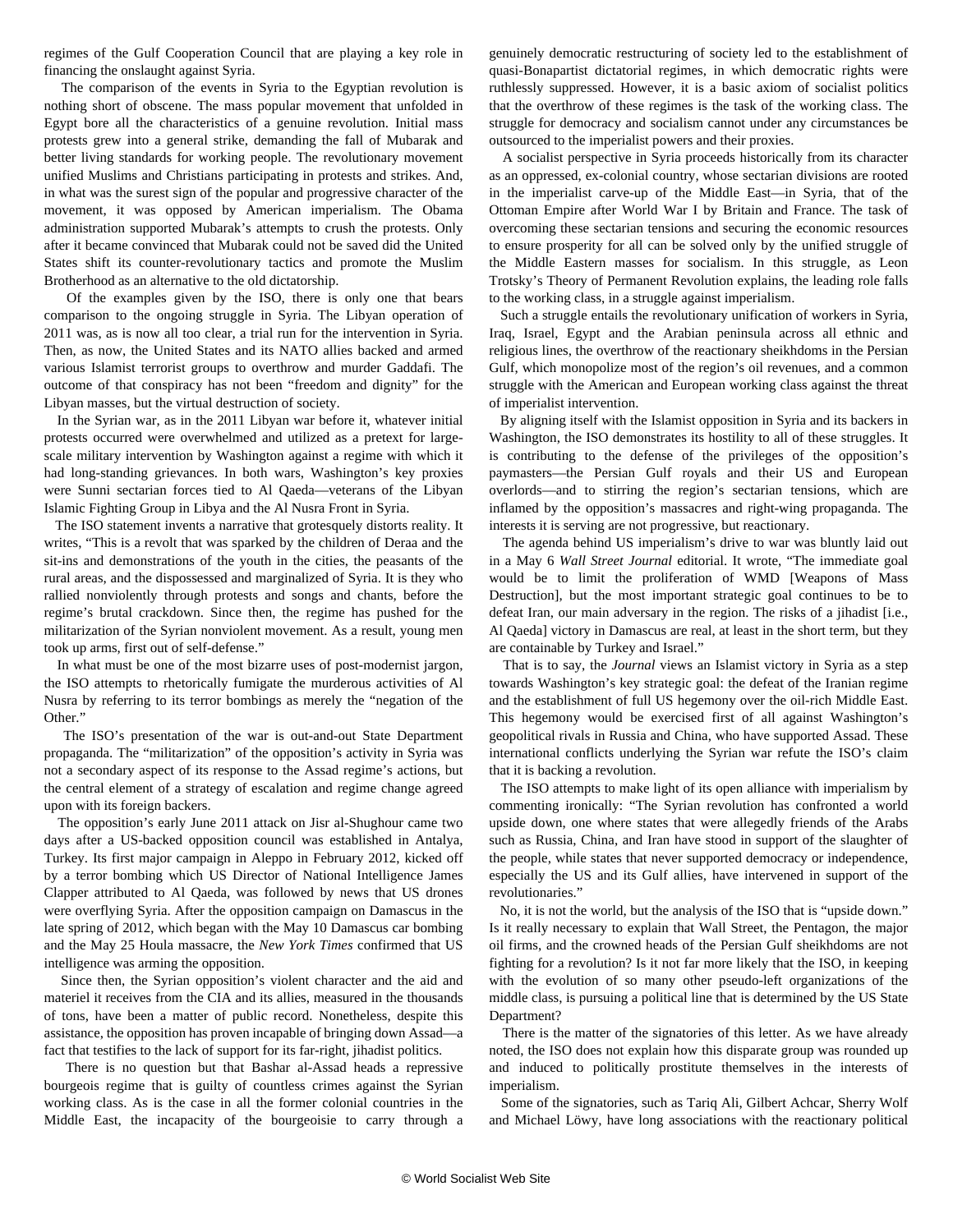regimes of the Gulf Cooperation Council that are playing a key role in financing the onslaught against Syria.

 The comparison of the events in Syria to the Egyptian revolution is nothing short of obscene. The mass popular movement that unfolded in Egypt bore all the characteristics of a genuine revolution. Initial mass protests grew into a general strike, demanding the fall of Mubarak and better living standards for working people. The revolutionary movement unified Muslims and Christians participating in protests and strikes. And, in what was the surest sign of the popular and progressive character of the movement, it was opposed by American imperialism. The Obama administration supported Mubarak's attempts to crush the protests. Only after it became convinced that Mubarak could not be saved did the United States shift its counter-revolutionary tactics and promote the Muslim Brotherhood as an alternative to the old dictatorship.

 Of the examples given by the ISO, there is only one that bears comparison to the ongoing struggle in Syria. The Libyan operation of 2011 was, as is now all too clear, a trial run for the intervention in Syria. Then, as now, the United States and its NATO allies backed and armed various Islamist terrorist groups to overthrow and murder Gaddafi. The outcome of that conspiracy has not been "freedom and dignity" for the Libyan masses, but the virtual destruction of society.

 In the Syrian war, as in the 2011 Libyan war before it, whatever initial protests occurred were overwhelmed and utilized as a pretext for largescale military intervention by Washington against a regime with which it had long-standing grievances. In both wars, Washington's key proxies were Sunni sectarian forces tied to Al Qaeda—veterans of the Libyan Islamic Fighting Group in Libya and the Al Nusra Front in Syria.

 The ISO statement invents a narrative that grotesquely distorts reality. It writes, "This is a revolt that was sparked by the children of Deraa and the sit-ins and demonstrations of the youth in the cities, the peasants of the rural areas, and the dispossessed and marginalized of Syria. It is they who rallied nonviolently through protests and songs and chants, before the regime's brutal crackdown. Since then, the regime has pushed for the militarization of the Syrian nonviolent movement. As a result, young men took up arms, first out of self-defense."

 In what must be one of the most bizarre uses of post-modernist jargon, the ISO attempts to rhetorically fumigate the murderous activities of Al Nusra by referring to its terror bombings as merely the "negation of the Other."

 The ISO's presentation of the war is out-and-out State Department propaganda. The "militarization" of the opposition's activity in Syria was not a secondary aspect of its response to the Assad regime's actions, but the central element of a strategy of escalation and regime change agreed upon with its foreign backers.

 The opposition's early June 2011 attack on Jisr al-Shughour came two days after a US-backed opposition council was established in Antalya, Turkey. Its first major campaign in Aleppo in February 2012, kicked off by a terror bombing which US Director of National Intelligence James Clapper attributed to Al Qaeda, was followed by news that US drones were overflying Syria. After the opposition campaign on Damascus in the late spring of 2012, which began with the May 10 Damascus car bombing and the May 25 Houla massacre, the *New York Times* confirmed that US intelligence was arming the opposition.

 Since then, the Syrian opposition's violent character and the aid and materiel it receives from the CIA and its allies, measured in the thousands of tons, have been a matter of public record. Nonetheless, despite this assistance, the opposition has proven incapable of bringing down Assad—a fact that testifies to the lack of support for its far-right, jihadist politics.

 There is no question but that Bashar al-Assad heads a repressive bourgeois regime that is guilty of countless crimes against the Syrian working class. As is the case in all the former colonial countries in the Middle East, the incapacity of the bourgeoisie to carry through a

genuinely democratic restructuring of society led to the establishment of quasi-Bonapartist dictatorial regimes, in which democratic rights were ruthlessly suppressed. However, it is a basic axiom of socialist politics that the overthrow of these regimes is the task of the working class. The struggle for democracy and socialism cannot under any circumstances be outsourced to the imperialist powers and their proxies.

 A socialist perspective in Syria proceeds historically from its character as an oppressed, ex-colonial country, whose sectarian divisions are rooted in the imperialist carve-up of the Middle East—in Syria, that of the Ottoman Empire after World War I by Britain and France. The task of overcoming these sectarian tensions and securing the economic resources to ensure prosperity for all can be solved only by the unified struggle of the Middle Eastern masses for socialism. In this struggle, as Leon Trotsky's Theory of Permanent Revolution explains, the leading role falls to the working class, in a struggle against imperialism.

 Such a struggle entails the revolutionary unification of workers in Syria, Iraq, Israel, Egypt and the Arabian peninsula across all ethnic and religious lines, the overthrow of the reactionary sheikhdoms in the Persian Gulf, which monopolize most of the region's oil revenues, and a common struggle with the American and European working class against the threat of imperialist intervention.

 By aligning itself with the Islamist opposition in Syria and its backers in Washington, the ISO demonstrates its hostility to all of these struggles. It is contributing to the defense of the privileges of the opposition's paymasters—the Persian Gulf royals and their US and European overlords—and to stirring the region's sectarian tensions, which are inflamed by the opposition's massacres and right-wing propaganda. The interests it is serving are not progressive, but reactionary.

 The agenda behind US imperialism's drive to war was bluntly laid out in a May 6 *Wall Street Journal* editorial. It wrote, "The immediate goal would be to limit the proliferation of WMD [Weapons of Mass Destruction], but the most important strategic goal continues to be to defeat Iran, our main adversary in the region. The risks of a jihadist [i.e., Al Qaeda] victory in Damascus are real, at least in the short term, but they are containable by Turkey and Israel."

 That is to say, the *Journal* views an Islamist victory in Syria as a step towards Washington's key strategic goal: the defeat of the Iranian regime and the establishment of full US hegemony over the oil-rich Middle East. This hegemony would be exercised first of all against Washington's geopolitical rivals in Russia and China, who have supported Assad. These international conflicts underlying the Syrian war refute the ISO's claim that it is backing a revolution.

 The ISO attempts to make light of its open alliance with imperialism by commenting ironically: "The Syrian revolution has confronted a world upside down, one where states that were allegedly friends of the Arabs such as Russia, China, and Iran have stood in support of the slaughter of the people, while states that never supported democracy or independence, especially the US and its Gulf allies, have intervened in support of the revolutionaries."

 No, it is not the world, but the analysis of the ISO that is "upside down." Is it really necessary to explain that Wall Street, the Pentagon, the major oil firms, and the crowned heads of the Persian Gulf sheikhdoms are not fighting for a revolution? Is it not far more likely that the ISO, in keeping with the evolution of so many other pseudo-left organizations of the middle class, is pursuing a political line that is determined by the US State Department?

 There is the matter of the signatories of this letter. As we have already noted, the ISO does not explain how this disparate group was rounded up and induced to politically prostitute themselves in the interests of imperialism.

 Some of the signatories, such as Tariq Ali, Gilbert Achcar, Sherry Wolf and Michael Löwy, have long associations with the reactionary political